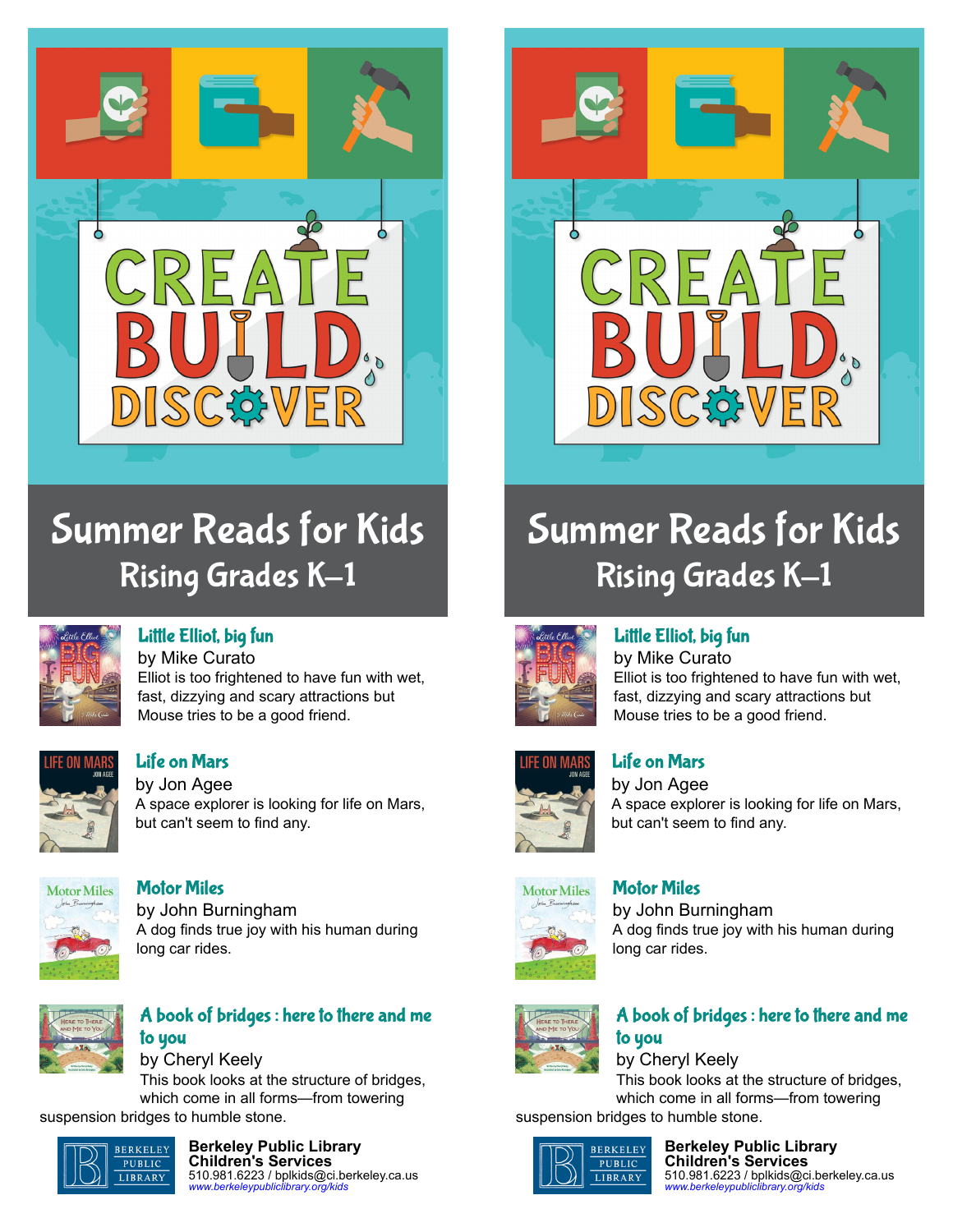

## Summer Reads for Kids **Rising Grades K-1**



#### [Little Elliot, big fun](https://libraryaware.com/227X5P)

by Mike Curato Elliot is too frightened to have fun with wet, fast, dizzying and scary attractions but Mouse tries to be a good friend.



#### [Life on Mars](https://libraryaware.com/227X5Q)

by Jon Agee A space explorer is looking for life on Mars, but can't seem to find any.



#### [Motor Miles](https://libraryaware.com/227X5R) by John Burningham A dog finds true joy with his human during long car rides.



#### [A book of bridges : here to there and me](https://libraryaware.com/227X5S) [to you](https://libraryaware.com/227X5S)

by Cheryl Keely This book looks at the structure of bridges, which come in all forms—from towering suspension bridges to humble stone.



#### **Berkeley Public Library Children's Services** 510.981.6223 / bplkids@ci.berkeley.ca.us *[www.berkeleypubliclibrary.org/kids](https://libraryaware.com/227X64)*



# Summer Reads for Kids **Rising Grades K-1**



#### [Little Elliot, big fun](https://libraryaware.com/227X5P)

by Mike Curato Elliot is too frightened to have fun with wet, fast, dizzying and scary attractions but Mouse tries to be a good friend.



#### [Life on Mars](https://libraryaware.com/227X5Q)

by Jon Agee A space explorer is looking for life on Mars, but can't seem to find any.

# **Motor Miles**

#### [Motor Miles](https://libraryaware.com/227X5R)

by John Burningham A dog finds true joy with his human during long car rides.



#### [A book of bridges : here to there and me](https://libraryaware.com/227X5S) [to you](https://libraryaware.com/227X5S)

by Cheryl Keely This book looks at the structure of bridges, which come in all forms—from towering suspension bridges to humble stone.



**Berkeley Public Library Children's Services** 510.981.6223 / bplkids@ci.berkeley.ca.us *[www.berkeleypubliclibrary.org/kids](https://libraryaware.com/227X64)*